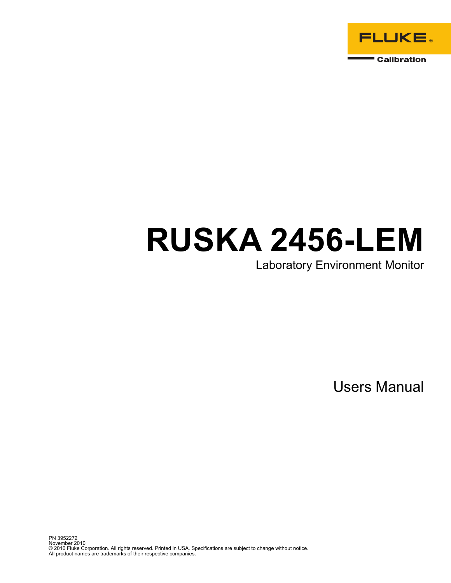

Calibration

# **RUSKA 2456-LEM**

### Laboratory Environment Monitor

Users Manual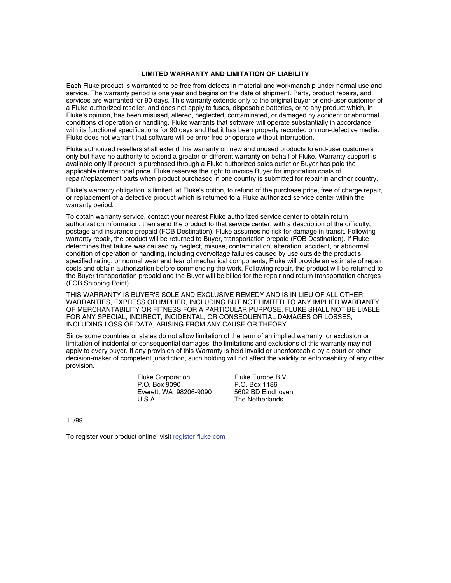#### **LIMITED WARRANTY AND LIMITATION OF LIABILITY**

Each Fluke product is warranted to be free from defects in material and workmanship under normal use and service. The warranty period is one year and begins on the date of shipment. Parts, product repairs, and services are warranted for 90 days. This warranty extends only to the original buyer or end-user customer of a Fluke authorized reseller, and does not apply to fuses, disposable batteries, or to any product which, in Fluke's opinion, has been misused, altered, neglected, contaminated, or damaged by accident or abnormal conditions of operation or handling. Fluke warrants that software will operate substantially in accordance with its functional specifications for 90 days and that it has been properly recorded on non-defective media. Fluke does not warrant that software will be error free or operate without interruption.

Fluke authorized resellers shall extend this warranty on new and unused products to end-user customers only but have no authority to extend a greater or different warranty on behalf of Fluke. Warranty support is available only if product is purchased through a Fluke authorized sales outlet or Buyer has paid the applicable international price. Fluke reserves the right to invoice Buyer for importation costs of repair/replacement parts when product purchased in one country is submitted for repair in another country.

Fluke's warranty obligation is limited, at Fluke's option, to refund of the purchase price, free of charge repair, or replacement of a defective product which is returned to a Fluke authorized service center within the warranty period.

To obtain warranty service, contact your nearest Fluke authorized service center to obtain return authorization information, then send the product to that service center, with a description of the difficulty, postage and insurance prepaid (FOB Destination). Fluke assumes no risk for damage in transit. Following warranty repair, the product will be returned to Buyer, transportation prepaid (FOB Destination). If Fluke determines that failure was caused by neglect, misuse, contamination, alteration, accident, or abnormal condition of operation or handling, including overvoltage failures caused by use outside the product's specified rating, or normal wear and tear of mechanical components, Fluke will provide an estimate of repair costs and obtain authorization before commencing the work. Following repair, the product will be returned to the Buyer transportation prepaid and the Buyer will be billed for the repair and return transportation charges (FOB Shipping Point).

THIS WARRANTY IS BUYER'S SOLE AND EXCLUSIVE REMEDY AND IS IN LIEU OF ALL OTHER WARRANTIES, EXPRESS OR IMPLIED, INCLUDING BUT NOT LIMITED TO ANY IMPLIED WARRANTY OF MERCHANTABILITY OR FITNESS FOR A PARTICULAR PURPOSE. FLUKE SHALL NOT BE LIABLE FOR ANY SPECIAL, INDIRECT, INCIDENTAL, OR CONSEQUENTIAL DAMAGES OR LOSSES, INCLUDING LOSS OF DATA, ARISING FROM ANY CAUSE OR THEORY.

Since some countries or states do not allow limitation of the term of an implied warranty, or exclusion or limitation of incidental or consequential damages, the limitations and exclusions of this warranty may not apply to every buyer. If any provision of this Warranty is held invalid or unenforceable by a court or other decision-maker of competent jurisdiction, such holding will not affect the validity or enforceability of any other provision.

> Fluke Corporation P.O. Box 9090 Everett, WA 98206-9090 U.S.A.

Fluke Europe B.V. P.O. Box 1186 5602 BD Eindhoven The Netherlands

11/99

To register your product online, vis[it register.fluke.com](http://register.fluke.com)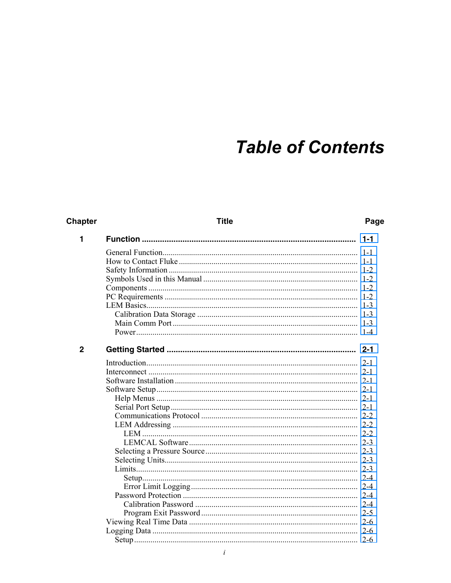## **Table of Contents**

| Chapter      | <b>Title</b> | Page    |
|--------------|--------------|---------|
| 1            |              | 1-1     |
|              |              | $1 - 1$ |
|              |              |         |
|              |              |         |
|              |              |         |
|              |              |         |
|              |              | $1 - 2$ |
|              |              | $1 - 3$ |
|              |              | $1 - 3$ |
|              |              | $1 - 3$ |
|              |              |         |
| $\mathbf{2}$ |              |         |
|              |              |         |
|              |              |         |
|              |              |         |
|              |              |         |
|              |              |         |
|              |              |         |
|              |              |         |
|              |              |         |
|              |              |         |
|              |              |         |
|              |              |         |
|              |              |         |
|              |              |         |
|              |              |         |
|              |              |         |
|              |              |         |
|              |              |         |
|              |              |         |
|              |              |         |
|              |              |         |
|              |              |         |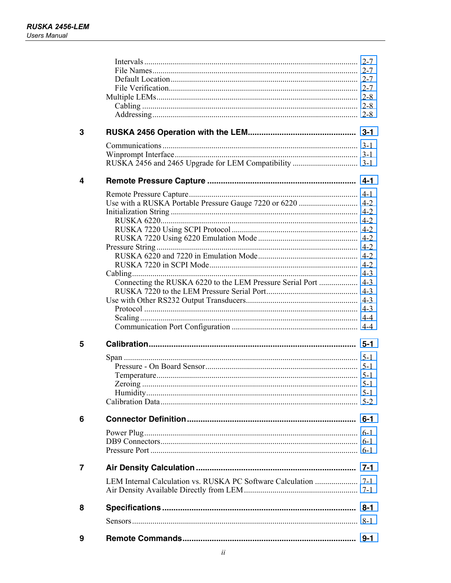| 3 |                                                                |         |
|---|----------------------------------------------------------------|---------|
|   |                                                                |         |
|   |                                                                |         |
|   |                                                                |         |
| 4 |                                                                |         |
|   |                                                                |         |
|   |                                                                |         |
|   |                                                                |         |
|   |                                                                |         |
|   |                                                                |         |
|   |                                                                |         |
|   |                                                                |         |
|   |                                                                |         |
|   |                                                                |         |
|   |                                                                |         |
|   |                                                                |         |
|   | Connecting the RUSKA 6220 to the LEM Pressure Serial Port  4-3 |         |
|   |                                                                |         |
|   |                                                                |         |
|   |                                                                |         |
|   |                                                                |         |
|   |                                                                |         |
|   |                                                                |         |
| 5 |                                                                |         |
|   |                                                                |         |
|   |                                                                |         |
|   |                                                                |         |
|   |                                                                |         |
|   |                                                                | $5-1$   |
|   |                                                                | $5-2$   |
|   |                                                                |         |
| 6 |                                                                | $6 - 1$ |
|   |                                                                |         |
|   |                                                                |         |
|   |                                                                |         |
|   |                                                                |         |
| 7 |                                                                |         |
|   |                                                                |         |
|   |                                                                |         |
| 8 |                                                                | $8 - 1$ |
|   |                                                                |         |
| 9 |                                                                | $9 - 1$ |
|   |                                                                |         |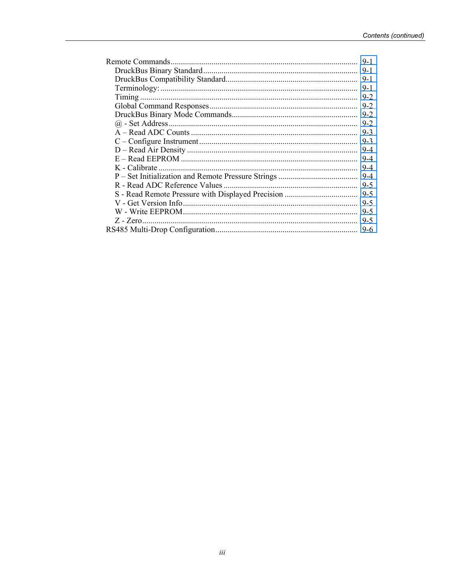| $9 - 1$ |
|---------|
|         |
|         |
|         |
|         |
|         |
|         |
|         |
| $9 - 3$ |
| $9 - 3$ |
| $9-4$   |
| $9-4$   |
| $9 - 4$ |
|         |
|         |
|         |
| $9 - 5$ |
| $9 - 5$ |
| $9 - 5$ |
| $9-6$   |
|         |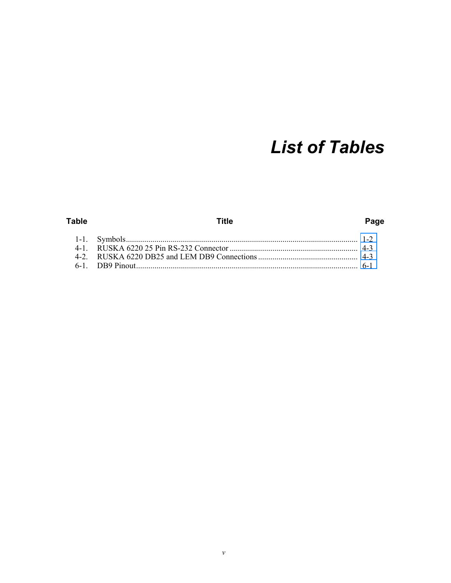## **List of Tables**

### **Table**

### **Title**

### Page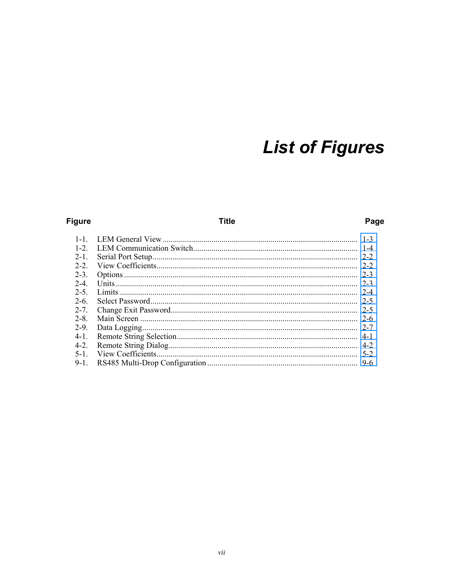## **List of Figures**

### **Figure**

### **Title**

### Page

| $1 - 1$   | $1 - 3$ |
|-----------|---------|
| $1 - 2$   | $1 - 4$ |
| $2 - 1$ . | $2 - 2$ |
| $2 - 2$ . | $2 - 2$ |
| $2 - 3$ . | $2 - 3$ |
| $2 - 4$   | $2 - 3$ |
| $2 - 5$   | $2 - 4$ |
| $2 - 6$ . | $2 - 5$ |
| $2 - 7$ . |         |
| $2 - 8$ . | $2 - 6$ |
| $2-9.$    | $2 - 7$ |
| $4-1$ .   | $4 - 1$ |
| $4-2.$    | $4 - 2$ |
| $5-1.$    | $5-2$   |
| $9-1.$    | $9-6$   |
|           |         |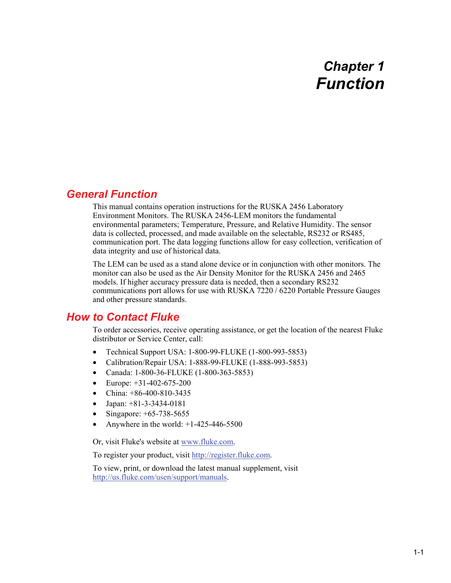## *Chapter 1 Function*

### <span id="page-10-0"></span>*General Function*

This manual contains operation instructions for the RUSKA 2456 Laboratory Environment Monitors. The RUSKA 2456-LEM monitors the fundamental environmental parameters; Temperature, Pressure, and Relative Humidity. The sensor data is collected, processed, and made available on the selectable, RS232 or RS485, communication port. The data logging functions allow for easy collection, verification of data integrity and use of historical data.

The LEM can be used as a stand alone device or in conjunction with other monitors. The monitor can also be used as the Air Density Monitor for the RUSKA 2456 and 2465 models. If higher accuracy pressure data is needed, then a secondary RS232 communications port allows for use with RUSKA 7220 / 6220 Portable Pressure Gauges and other pressure standards.

### *How to Contact Fluke*

To order accessories, receive operating assistance, or get the location of the nearest Fluke distributor or Service Center, call:

- Technical Support USA: 1-800-99-FLUKE (1-800-993-5853)
- Calibration/Repair USA: 1-888-99-FLUKE (1-888-993-5853)
- Canada: 1-800-36-FLUKE (1-800-363-5853)
- Europe:  $+31-402-675-200$
- China:  $+86-400-810-3435$
- Japan:  $+81-3-3434-0181$
- Singapore:  $+65-738-5655$
- Anywhere in the world:  $+1-425-446-5500$

Or, visit Fluke's website at www.fluke.com.

To register your product, visit http://register.fluke.com.

To view, print, or download the latest manual supplement, visit http://us.fluke.com/usen/support/manuals.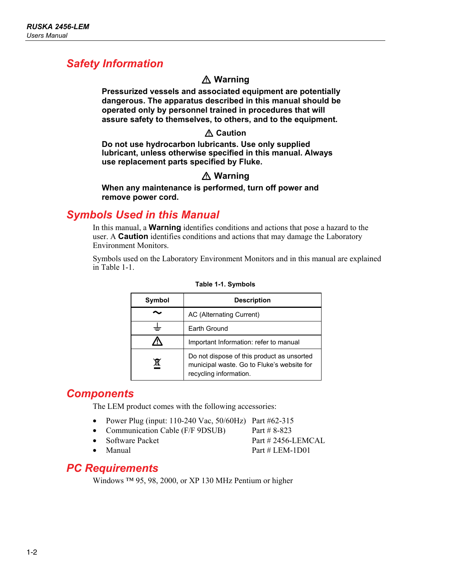### <span id="page-11-0"></span>*Safety Information*

### W **Warning**

**Pressurized vessels and associated equipment are potentially dangerous. The apparatus described in this manual should be operated only by personnel trained in procedures that will assure safety to themselves, to others, and to the equipment.** 

### W **Caution**

**Do not use hydrocarbon lubricants. Use only supplied lubricant, unless otherwise specified in this manual. Always use replacement parts specified by Fluke.** 

### W **Warning**

**When any maintenance is performed, turn off power and remove power cord.** 

### *Symbols Used in this Manual*

In this manual, a **Warning** identifies conditions and actions that pose a hazard to the user. A **Caution** identifies conditions and actions that may damage the Laboratory Environment Monitors.

Symbols used on the Laboratory Environment Monitors and in this manual are explained in Table 1-1.

| Symbol | <b>Description</b>                                                                                                 |
|--------|--------------------------------------------------------------------------------------------------------------------|
|        | AC (Alternating Current)                                                                                           |
|        | Earth Ground                                                                                                       |
|        | Important Information: refer to manual                                                                             |
| 窻      | Do not dispose of this product as unsorted<br>municipal waste. Go to Fluke's website for<br>recycling information. |

#### **Table 1-1. Symbols**

### *Components*

The LEM product comes with the following accessories:

- Power Plug (input:  $110-240$  Vac,  $50/60$ Hz) Part #62-315
- Communication Cable (F/F 9DSUB) Part # 8-823
- 
- 
- Software Packet Part # 2456-LEMCAL
- 
- Manual Part # LEM-1D01

### *PC Requirements*

Windows ™ 95, 98, 2000, or XP 130 MHz Pentium or higher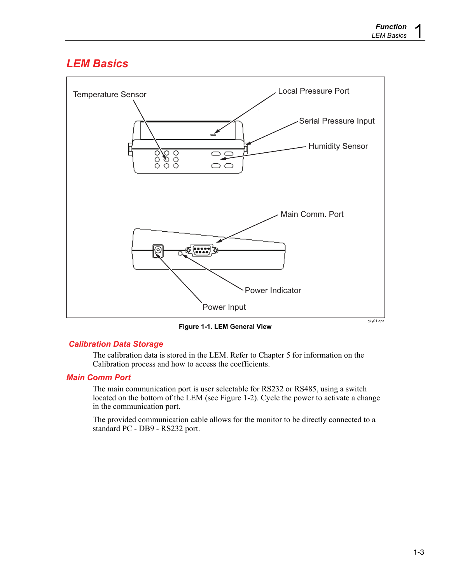### <span id="page-12-0"></span>*LEM Basics*



**Figure 1-1. LEM General View** 

### *Calibration Data Storage*

The calibration data is stored in the LEM. Refer to Chapter 5 for information on the Calibration process and how to access the coefficients.

### *Main Comm Port*

The main communication port is user selectable for RS232 or RS485, using a switch located on the bottom of the LEM (see Figure 1-2). Cycle the power to activate a change in the communication port.

The provided communication cable allows for the monitor to be directly connected to a standard PC - DB9 - RS232 port.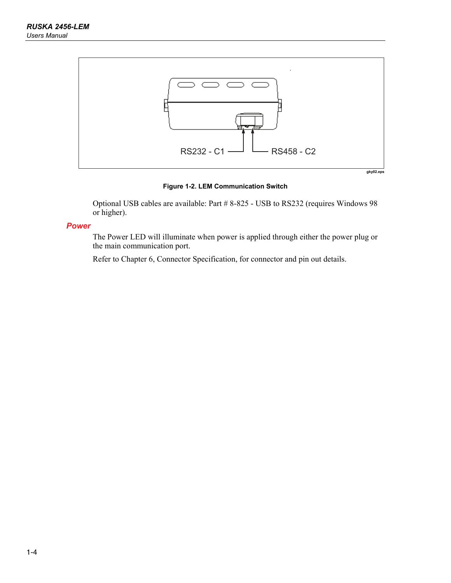<span id="page-13-0"></span>

**Figure 1-2. LEM Communication Switch** 

Optional USB cables are available: Part # 8-825 - USB to RS232 (requires Windows 98 or higher).

### *Power*

The Power LED will illuminate when power is applied through either the power plug or the main communication port.

Refer to Chapter 6, Connector Specification, for connector and pin out details.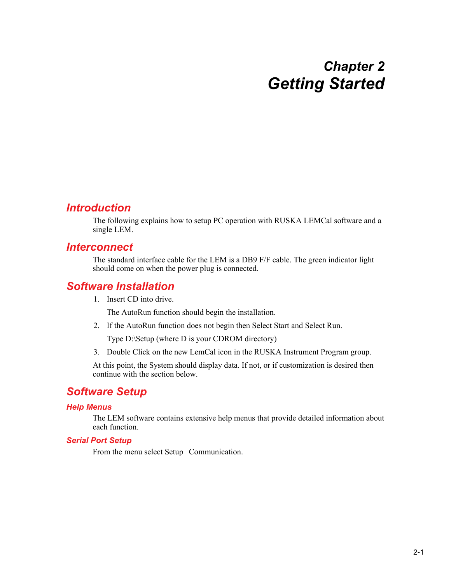## *Chapter 2 Getting Started*

### <span id="page-14-0"></span>*Introduction*

The following explains how to setup PC operation with RUSKA LEMCal software and a single LEM.

### *Interconnect*

The standard interface cable for the LEM is a DB9 F/F cable. The green indicator light should come on when the power plug is connected.

### *Software Installation*

1. Insert CD into drive.

The AutoRun function should begin the installation.

2. If the AutoRun function does not begin then Select Start and Select Run.

Type D:\Setup (where D is your CDROM directory)

3. Double Click on the new LemCal icon in the RUSKA Instrument Program group.

At this point, the System should display data. If not, or if customization is desired then continue with the section below.

### *Software Setup*

### *Help Menus*

The LEM software contains extensive help menus that provide detailed information about each function.

### *Serial Port Setup*

From the menu select Setup | Communication.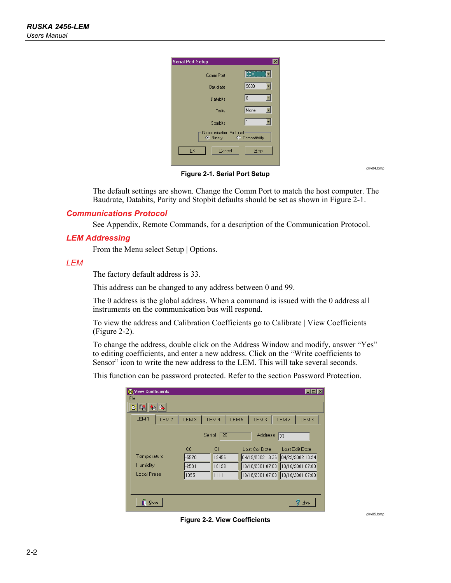<span id="page-15-0"></span>

gky04.bmp

**Figure 2-1. Serial Port Setup** 

The default settings are shown. Change the Comm Port to match the host computer. The Baudrate, Databits, Parity and Stopbit defaults should be set as shown in Figure 2-1.

#### *Communications Protocol*

See Appendix, Remote Commands, for a description of the Communication Protocol.

#### *LEM Addressing*

From the Menu select Setup | Options.

*LEM* 

The factory default address is 33.

This address can be changed to any address between 0 and 99.

The 0 address is the global address. When a command is issued with the 0 address all instruments on the communication bus will respond.

To view the address and Calibration Coefficients go to Calibrate | View Coefficients (Figure 2-2).

To change the address, double click on the Address Window and modify, answer "Yes" to editing coefficients, and enter a new address. Click on the "Write coefficients to Sensor" icon to write the new address to the LEM. This will take several seconds.

This function can be password protected. Refer to the section Password Protection.

| <b>View Coefficients</b>   |                  |                  |                  |                                   |                  |                  | EOX              |
|----------------------------|------------------|------------------|------------------|-----------------------------------|------------------|------------------|------------------|
| Eile                       |                  |                  |                  |                                   |                  |                  |                  |
| 暭<br>B                     | B,               |                  |                  |                                   |                  |                  |                  |
| LEM <sub>1</sub>           | LEM <sub>2</sub> | LEM <sub>3</sub> | LEM <sub>4</sub> | LEM <sub>5</sub>                  | LEM 6            | LEM <sub>7</sub> | LEM <sub>8</sub> |
|                            |                  |                  | Serial           | 125                               | Address          | 33               |                  |
|                            |                  | C <sub>0</sub>   | C1               |                                   | Last Cal Date    |                  | Last Edit Date   |
| Temperature                |                  | $-5570$          | 19456            |                                   | 04/19/2002 13:36 |                  | 04/22/2002 10:24 |
| <b>Humidity</b>            |                  | $-2581$          | 16129            |                                   | 10/16/2001 07:00 |                  | 10/16/2001 07:00 |
| <b>Local Press</b><br>1055 |                  | 11111            |                  | 10/16/2001 07:00 10/16/2001 07:00 |                  |                  |                  |
|                            |                  |                  |                  |                                   |                  |                  |                  |
|                            |                  |                  |                  |                                   |                  |                  |                  |
| <b>n</b> Close             |                  |                  |                  |                                   |                  |                  | Help             |

**Figure 2-2. View Coefficients** 

gky05.bmp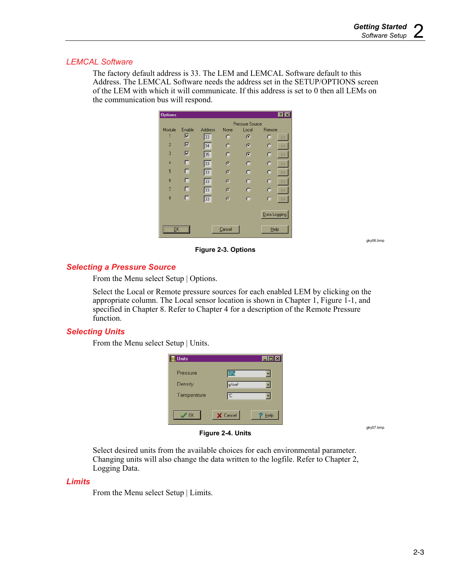#### <span id="page-16-0"></span>*LEMCAL Software*

The factory default address is 33. The LEM and LEMCAL Software default to this Address. The LEMCAL Software needs the address set in the SETUP/OPTIONS screen of the LEM with which it will communicate. If this address is set to 0 then all LEMs on the communication bus will respond.

| <b>Options</b> |                                             |                |          |                 |              | 7x            |
|----------------|---------------------------------------------|----------------|----------|-----------------|--------------|---------------|
|                |                                             |                |          | Pressure Source |              |               |
| Module         | Enable                                      | <b>Address</b> | None     | Local           | Remote       |               |
| 1              | ঢ়                                          | 33             | о        | $\epsilon$      | о            | $\rightarrow$ |
| $\overline{2}$ | ⊽                                           | 34             | O        | ø               | O            | $\rightarrow$ |
| 3              | ⊽                                           | 35             | O        | $\sigma$        | $\circ$      | $\rightarrow$ |
| $\overline{4}$ | П                                           | 33             | $\sigma$ | a               | $\circ$      | $\rightarrow$ |
| 5              | П                                           | 33             | G        | $\circ$         | $\circ$      | $\rightarrow$ |
| 6              | n                                           | 33             | $\sigma$ | $\circ$         | $\circ$      | $\rightarrow$ |
| $\overline{7}$ | П                                           | 33             | $\sigma$ | $\bullet$       | $\bullet$    | $\rightarrow$ |
| 8              | П                                           | 33             | c        | ō               | $\circ$      | $\rightarrow$ |
|                |                                             |                |          |                 | Data Logging |               |
|                | $\overline{\mathsf{D}}$ K<br>Cancel<br>Help |                |          |                 |              |               |

gky06.bmp

**Figure 2-3. Options** 

### *Selecting a Pressure Source*

From the Menu select Setup | Options.

Select the Local or Remote pressure sources for each enabled LEM by clicking on the appropriate column. The Local sensor location is shown in Chapter 1, Figure 1-1, and specified in Chapter 8. Refer to Chapter 4 for a description of the Remote Pressure function.

### *Selecting Units*

From the Menu select Setup | Units.

| <b>Units</b> |                   | $\Box$ |
|--------------|-------------------|--------|
| Pressure     | ∣kPa              |        |
| Density      | g/cm <sup>3</sup> |        |
| Temperature  | ГC                |        |
|              |                   |        |
| <b>OK</b>    | X Cancel          | Help   |

**Figure 2-4. Units** 

gky07.bmp

Select desired units from the available choices for each environmental parameter. Changing units will also change the data written to the logfile. Refer to Chapter 2, Logging Data.

#### *Limits*

From the Menu select Setup | Limits.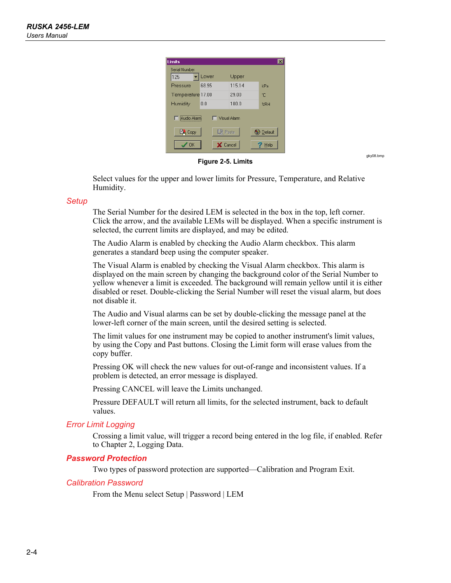<span id="page-17-0"></span>

| <b>Limits</b>                                    |              |        | $\times$ |  |  |
|--------------------------------------------------|--------------|--------|----------|--|--|
| Serial Number                                    |              |        |          |  |  |
| 125                                              | Lower        | Upper  |          |  |  |
| Pressure                                         | 68.95        | 115.14 | kPa      |  |  |
| Temperature 17.00                                |              | 29.00  | ÎГ.      |  |  |
| Humidity                                         | 100.0<br>0.0 |        | %RH      |  |  |
| Audio Alarm<br><b>Nisual Alarm</b>               |              |        |          |  |  |
| <b>Q</b> Default<br>List Copy<br><b>EX</b> Paste |              |        |          |  |  |
| <b>OK</b><br>X Cancel<br>Help                    |              |        |          |  |  |

**Figure 2-5. Limits** 

gky08.bmp

Select values for the upper and lower limits for Pressure, Temperature, and Relative Humidity.

#### *Setup*

The Serial Number for the desired LEM is selected in the box in the top, left corner. Click the arrow, and the available LEMs will be displayed. When a specific instrument is selected, the current limits are displayed, and may be edited.

The Audio Alarm is enabled by checking the Audio Alarm checkbox. This alarm generates a standard beep using the computer speaker.

The Visual Alarm is enabled by checking the Visual Alarm checkbox. This alarm is displayed on the main screen by changing the background color of the Serial Number to yellow whenever a limit is exceeded. The background will remain yellow until it is either disabled or reset. Double-clicking the Serial Number will reset the visual alarm, but does not disable it.

The Audio and Visual alarms can be set by double-clicking the message panel at the lower-left corner of the main screen, until the desired setting is selected.

The limit values for one instrument may be copied to another instrument's limit values, by using the Copy and Past buttons. Closing the Limit form will erase values from the copy buffer.

Pressing OK will check the new values for out-of-range and inconsistent values. If a problem is detected, an error message is displayed.

Pressing CANCEL will leave the Limits unchanged.

Pressure DEFAULT will return all limits, for the selected instrument, back to default values.

#### *Error Limit Logging*

Crossing a limit value, will trigger a record being entered in the log file, if enabled. Refer to Chapter 2, Logging Data.

#### *Password Protection*

Two types of password protection are supported—Calibration and Program Exit.

#### *Calibration Password*

From the Menu select Setup | Password | LEM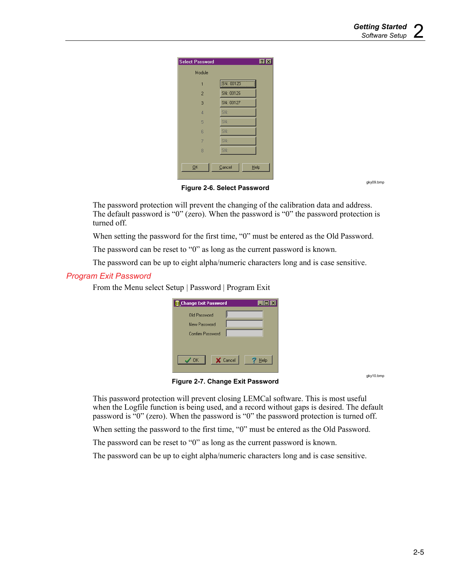<span id="page-18-0"></span>

| <b>Select Password</b> | 2x             |
|------------------------|----------------|
| Module                 |                |
| 1                      | SN: 00125      |
| $\overline{2}$         | SN: 00126      |
| 3                      | SN: 00127      |
| 4                      | SN:            |
| 5                      | SN:            |
| 6                      | SN:            |
| 7                      | SN:            |
| 8                      | SN:            |
|                        |                |
| QK                     | Cancel<br>Help |
|                        |                |

**Figure 2-6. Select Password** 

gky09.bmp

The password protection will prevent the changing of the calibration data and address. The default password is "0" (zero). When the password is "0" the password protection is turned off.

When setting the password for the first time, "0" must be entered as the Old Password.

The password can be reset to "0" as long as the current password is known.

The password can be up to eight alpha/numeric characters long and is case sensitive.

#### *Program Exit Password*

From the Menu select Setup | Password | Program Exit

| <b>Change Exit Password</b> | ш    |
|-----------------------------|------|
| <b>Old Password</b>         |      |
| New Password                |      |
| Confirm Password            |      |
|                             |      |
|                             |      |
| X Cancel<br>' ok            | Help |
|                             |      |

**Figure 2-7. Change Exit Password** 

gky10.bmp

This password protection will prevent closing LEMCal software. This is most useful when the Logfile function is being used, and a record without gaps is desired. The default password is "0" (zero). When the password is "0" the password protection is turned off.

When setting the password to the first time, "0" must be entered as the Old Password.

The password can be reset to "0" as long as the current password is known.

The password can be up to eight alpha/numeric characters long and is case sensitive.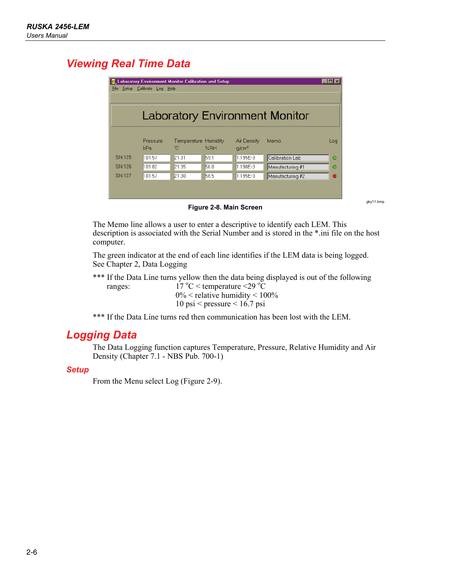### <span id="page-19-0"></span>*Viewing Real Time Data*

|      |        |                          | <b>Laboratory Environment Monitor Calibration and Setup</b> |      |                   |                                       | - 10 |
|------|--------|--------------------------|-------------------------------------------------------------|------|-------------------|---------------------------------------|------|
| File |        | Setup Calibrate Log Help |                                                             |      |                   |                                       |      |
|      |        |                          |                                                             |      |                   |                                       |      |
|      |        |                          |                                                             |      |                   |                                       |      |
|      |        |                          |                                                             |      |                   | <b>Laboratory Environment Monitor</b> |      |
|      |        |                          |                                                             |      |                   |                                       |      |
|      |        | Pressure                 | Temperature Humidity                                        |      | Air Density       | Memo                                  | Log  |
|      |        | kPa                      | °C.                                                         | %RH  | q/cm <sup>3</sup> |                                       |      |
|      | SN:125 | 101.57                   | 21.31                                                       | 59.1 | 1.195E-3          | Calibration Lab                       | О    |
|      | SN:126 | 101.82                   | 21.35                                                       | 56.0 | 1.198E-3          | Manufacturing #1                      | О    |
|      | SN:127 | 101.57                   | 21.30                                                       | 58.5 | 1.195E-3          | Manufacturing #2                      | O    |
|      |        |                          |                                                             |      |                   |                                       |      |
|      |        |                          |                                                             |      |                   |                                       |      |

**Figure 2-8. Main Screen** 

gky11.bmp

The Memo line allows a user to enter a descriptive to identify each LEM. This description is associated with the Serial Number and is stored in the \*.ini file on the host computer.

The green indicator at the end of each line identifies if the LEM data is being logged. See Chapter 2, Data Logging

\*\*\* If the Data Line turns yellow then the data being displayed is out of the following ranges: C  $\leq$  temperature  $\leq$ 29 °C  $0\%$  < relative humidity <  $100\%$  $10 \text{ psi}$  < pressure <  $16.7 \text{ psi}$ 

\*\*\* If the Data Line turns red then communication has been lost with the LEM.

### *Logging Data*

The Data Logging function captures Temperature, Pressure, Relative Humidity and Air Density (Chapter 7.1 - NBS Pub. 700-1)

### *Setup*

From the Menu select Log (Figure 2-9).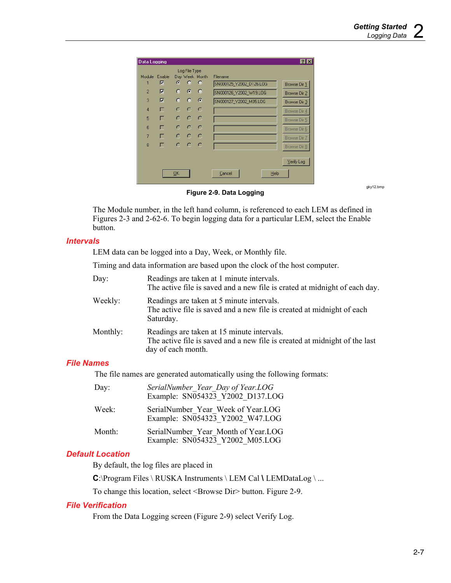<span id="page-20-0"></span>

| <b>Data Logging</b> |        |                           |               |                |                         | 7x           |
|---------------------|--------|---------------------------|---------------|----------------|-------------------------|--------------|
| Module              | Enable |                           | Log File Type | Day Week Month | Filename                |              |
| 1                   | ⊽      | ø.                        | $\circ$       | $\circ$        | SN000125_Y2002_D126.LOG | Browse Dir 1 |
| $\overline{2}$      | ⊽      | O                         | $\epsilon$    | O              | SN000126 Y2002 W19.LOG  | Browse Dir 2 |
| 3                   | ঢ়     | c                         | O             | ø              | SN000127_Y2002_M05.LOG  | Browse Dir 3 |
| $\overline{4}$      | г      | c.                        | $\sqrt{2}$    | C              |                         | Browse Dir 4 |
| 5                   | г      |                           | C             | c              |                         | Browse Dir 5 |
| 6                   |        | c.                        | $\subset$     | C              |                         | Browse Dir 6 |
| $\overline{7}$      | г      |                           | $c$ $c$ $c$   |                |                         | Browse Dir 7 |
| 8                   | г      |                           | $C - C$       | C              |                         | Browse Dir 8 |
|                     |        |                           |               |                |                         |              |
|                     |        |                           |               |                |                         | Verify Log   |
|                     |        | $\overline{\mathsf{D}}$ K |               |                | Cancel<br>Help          |              |

**Figure 2-9. Data Logging** 

gky12.bmp

The Module number, in the left hand column, is referenced to each LEM as defined in Figures 2-3 and 2-62-6. To begin logging data for a particular LEM, select the Enable button.

### *Intervals*

LEM data can be logged into a Day, Week, or Monthly file.

Timing and data information are based upon the clock of the host computer.

| Day:     | Readings are taken at 1 minute intervals.<br>The active file is saved and a new file is crated at midnight of each day.                        |
|----------|------------------------------------------------------------------------------------------------------------------------------------------------|
| Weekly:  | Readings are taken at 5 minute intervals.<br>The active file is saved and a new file is created at midnight of each<br>Saturday.               |
| Monthly: | Readings are taken at 15 minute intervals.<br>The active file is saved and a new file is created at midnight of the last<br>day of each month. |

### *File Names*

The file names are generated automatically using the following formats:

| Day:   | SerialNumber Year Day of Year.LOG<br>Example: SN054323 Y2002 D137.LOG  |
|--------|------------------------------------------------------------------------|
| Week:  | SerialNumber Year Week of Year.LOG<br>Example: SN054323 Y2002 W47.LOG  |
| Month: | SerialNumber Year Month of Year.LOG<br>Example: SN054323 Y2002 M05.LOG |

### *Default Location*

By default, the log files are placed in

**C**:\Program Files \ RUSKA Instruments \ LEM Cal **\** LEMDataLog \ ...

To change this location, select <Browse Dir> button. Figure 2-9.

### *File Verification*

From the Data Logging screen (Figure 2-9) select Verify Log.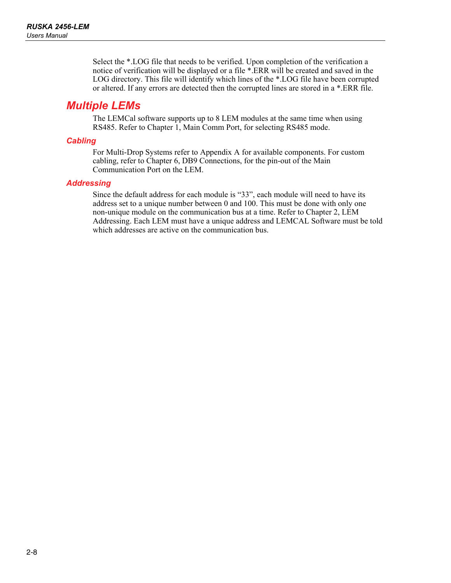<span id="page-21-0"></span>Select the \*.LOG file that needs to be verified. Upon completion of the verification a notice of verification will be displayed or a file \*.ERR will be created and saved in the LOG directory. This file will identify which lines of the \*.LOG file have been corrupted or altered. If any errors are detected then the corrupted lines are stored in a \*.ERR file.

### *Multiple LEMs*

The LEMCal software supports up to 8 LEM modules at the same time when using RS485. Refer to Chapter 1, Main Comm Port, for selecting RS485 mode.

#### *Cabling*

For Multi-Drop Systems refer to Appendix A for available components. For custom cabling, refer to Chapter 6, DB9 Connections, for the pin-out of the Main Communication Port on the LEM.

#### *Addressing*

Since the default address for each module is "33", each module will need to have its address set to a unique number between 0 and 100. This must be done with only one non-unique module on the communication bus at a time. Refer to Chapter 2, LEM Addressing. Each LEM must have a unique address and LEMCAL Software must be told which addresses are active on the communication bus.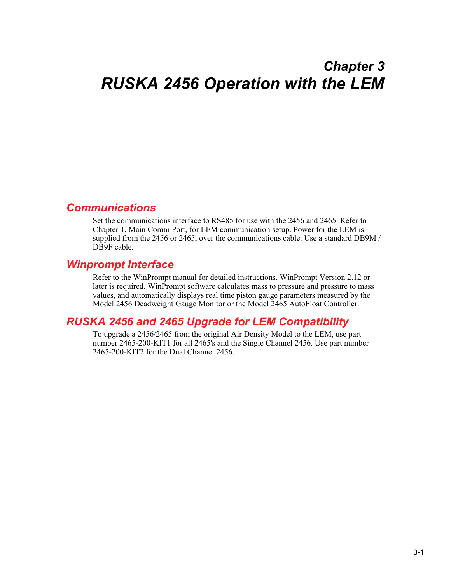## <span id="page-22-0"></span>*Chapter 3 RUSKA 2456 Operation with the LEM*

### *Communications*

Set the communications interface to RS485 for use with the 2456 and 2465. Refer to Chapter 1, Main Comm Port, for LEM communication setup. Power for the LEM is supplied from the 2456 or 2465, over the communications cable. Use a standard DB9M / DB9F cable.

### *Winprompt Interface*

Refer to the WinPrompt manual for detailed instructions. WinPrompt Version 2.12 or later is required. WinPrompt software calculates mass to pressure and pressure to mass values, and automatically displays real time piston gauge parameters measured by the Model 2456 Deadweight Gauge Monitor or the Model 2465 AutoFloat Controller.

### *RUSKA 2456 and 2465 Upgrade for LEM Compatibility*

To upgrade a 2456/2465 from the original Air Density Model to the LEM, use part number 2465-200-KIT1 for all 2465's and the Single Channel 2456. Use part number 2465-200-KIT2 for the Dual Channel 2456.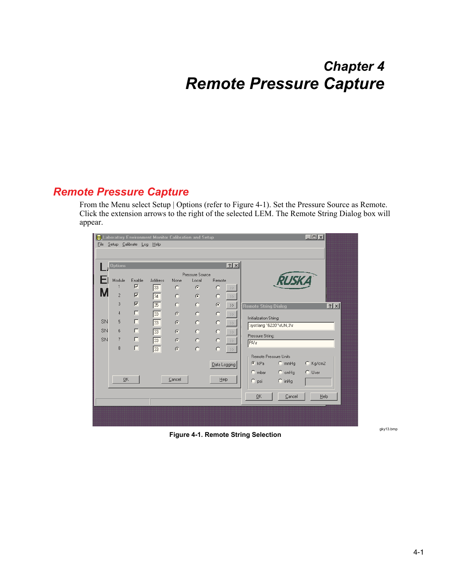## *Chapter 4 Remote Pressure Capture*

### <span id="page-24-0"></span>*Remote Pressure Capture*

From the Menu select Setup | Options (refer to Figure 4-1). Set the Pressure Source as Remote. Click the extension arrows to the right of the selected LEM. The Remote String Dialog box will appear.

| $-12X$<br>aboratory Environment Monitor Calibration and Setup.<br>e1 |                          |                         |                 |                                    |                            |              |                   |                                    |
|----------------------------------------------------------------------|--------------------------|-------------------------|-----------------|------------------------------------|----------------------------|--------------|-------------------|------------------------------------|
| Eile                                                                 | Setup Calibrate Log Help |                         |                 |                                    |                            |              |                   |                                    |
|                                                                      |                          |                         |                 |                                    |                            |              |                   |                                    |
|                                                                      |                          |                         |                 |                                    |                            |              |                   |                                    |
|                                                                      | <b>Iptions</b>           |                         |                 |                                    |                            |              | $ ?  \times$      |                                    |
|                                                                      |                          |                         |                 |                                    | Pressure Source            |              |                   |                                    |
|                                                                      | Module                   | Enable                  | Address         | None                               | Local                      | Remote       |                   |                                    |
| Μ                                                                    |                          | ⊽                       | 33              | $\circ$                            | $\cal G$                   | $\circ$      | $\rightarrow$     |                                    |
|                                                                      | $\overline{2}$           | ⊽                       | $\overline{34}$ | $\circ$                            | $\left( \mathbf{G}\right)$ | $\circ$      | $\rightarrow$     |                                    |
|                                                                      | 3                        | $\overline{\mathbf{v}}$ | $\overline{35}$ | $\circ$                            | o                          | $\epsilon$   | $\rightarrow$ $>$ | 2x<br><b>Remote String Dialog</b>  |
|                                                                      | $\overline{4}$           | п                       | बि              | $\left( \mathbf{c}\right)$         | o                          | $\circ$      | $\rightarrow$     |                                    |
| SN                                                                   | 5                        | $\Box$                  | $\overline{33}$ | $\cal G$                           | $\circ$                    | O            |                   | Initialization String:             |
| SN                                                                   | 6                        | $\Box$                  | 33              | $\left( \mathbf{G}\right)$         | $\bullet$                  | O            | $\rightarrow$     | :syst:lang "6220"\rUN,3\r          |
| SN                                                                   | $\overline{7}$           | $\Box$                  |                 |                                    |                            |              |                   | Pressure String:                   |
|                                                                      |                          |                         | 33              | $\left( \widehat{\bullet }\right)$ | $\hbox{ }^{\circ}$         | $\circ$      | $\rightarrow$     | PAV                                |
|                                                                      | 8                        | $\Box$                  | 丽               | $\sigma$                           | $\circ$                    | $\circ$      |                   |                                    |
|                                                                      |                          |                         |                 |                                    |                            |              |                   | Remote Pressure Units              |
|                                                                      |                          |                         |                 |                                    |                            | Data Logging |                   | $F$ kPa<br>$C$ Kg/cm2<br>$C$ mmHq  |
|                                                                      |                          |                         |                 |                                    |                            |              |                   | $C$ cmHg<br>$C$ User<br>O.<br>mbar |
|                                                                      | QK                       |                         |                 | Cancel                             |                            | Help         |                   | o<br>$C$ in Hq<br>psi              |
|                                                                      |                          |                         |                 |                                    |                            |              |                   |                                    |
|                                                                      |                          |                         |                 |                                    |                            |              |                   | <u>D</u> Κ<br>Cancel<br>Help       |
|                                                                      |                          |                         |                 |                                    |                            |              |                   |                                    |
|                                                                      |                          |                         |                 |                                    |                            |              |                   |                                    |
|                                                                      |                          |                         |                 |                                    |                            |              |                   |                                    |
|                                                                      |                          |                         |                 |                                    |                            |              |                   |                                    |

**Figure 4-1. Remote String Selection** 

gky13.bmp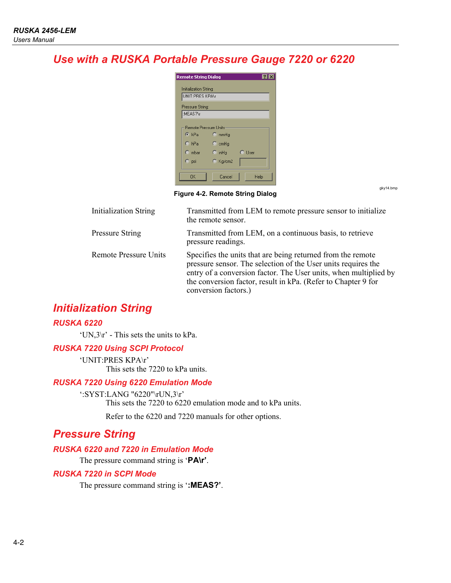### <span id="page-25-0"></span>*Use with a RUSKA Portable Pressure Gauge 7220 or 6220*

| $\overline{\mathbf{r}}$<br>temote String Dialog                            |                                                  |               |  |  |  |  |  |
|----------------------------------------------------------------------------|--------------------------------------------------|---------------|--|--|--|--|--|
| Initialization String:<br><b>UNIT:PRES KPAV</b>                            |                                                  |               |  |  |  |  |  |
| Pressure String:<br>:MEAS?\r                                               |                                                  |               |  |  |  |  |  |
| Remote Pressure Units:<br>$\odot$ kPa<br>$C$ hPa<br>$C$ mhar<br>$\Box$ psi | $C$ mmHa<br>$C$ cmHq<br>$C$ in Hq.<br>$C$ Kg/cm2 | <b>C</b> User |  |  |  |  |  |
| <b>OK</b>                                                                  | Cancel                                           | Help          |  |  |  |  |  |

**Figure 4-2. Remote String Dialog** 

gky14.bmp

| <b>Initialization String</b> | Transmitted from LEM to remote pressure sensor to initialize<br>the remote sensor.                                                                                                                                                                                                        |
|------------------------------|-------------------------------------------------------------------------------------------------------------------------------------------------------------------------------------------------------------------------------------------------------------------------------------------|
| Pressure String              | Transmitted from LEM, on a continuous basis, to retrieve<br>pressure readings.                                                                                                                                                                                                            |
| Remote Pressure Units        | Specifies the units that are being returned from the remote<br>pressure sensor. The selection of the User units requires the<br>entry of a conversion factor. The User units, when multiplied by<br>the conversion factor, result in kPa. (Refer to Chapter 9 for<br>conversion factors.) |

### *Initialization String*

### *RUSKA 6220*

'UN,3\r' - This sets the units to kPa.

### *RUSKA 7220 Using SCPI Protocol*

 'UNIT:PRES KPA\r' This sets the 7220 to kPa units.

### *RUSKA 7220 Using 6220 Emulation Mode*

 ':SYST:LANG "6220"\rUN,3\r' This sets the 7220 to 6220 emulation mode and to kPa units.

Refer to the 6220 and 7220 manuals for other options.

### *Pressure String*

### *RUSKA 6220 and 7220 in Emulation Mode*

The pressure command string is '**PA\r'**.

### *RUSKA 7220 in SCPI Mode*

The pressure command string is '**:MEAS?'**.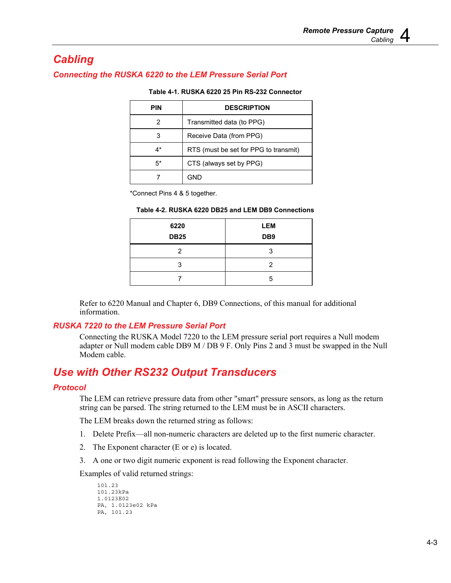### <span id="page-26-0"></span>*Cabling*

### *Connecting the RUSKA 6220 to the LEM Pressure Serial Port*

|            | I UMIV TII I I IVU UMI VEEVILU I III I IVU EVE UVIIII IVULUI |  |  |  |  |
|------------|--------------------------------------------------------------|--|--|--|--|
| <b>PIN</b> | <b>DESCRIPTION</b>                                           |  |  |  |  |
|            | Transmitted data (to PPG)                                    |  |  |  |  |
| 3          | Receive Data (from PPG)                                      |  |  |  |  |
| 4*         | RTS (must be set for PPG to transmit)                        |  |  |  |  |
| 5*         | CTS (always set by PPG)                                      |  |  |  |  |
|            | GND                                                          |  |  |  |  |

#### **Table 4-1. RUSKA 6220 25 Pin RS-232 Connector**

\*Connect Pins 4 & 5 together.

#### **Table 4-2. RUSKA 6220 DB25 and LEM DB9 Connections**

| 6220<br><b>DB25</b> | <b>LEM</b><br>DB <sub>9</sub> |
|---------------------|-------------------------------|
| 2                   | 3                             |
| 3                   | 2                             |
|                     | 5                             |

Refer to 6220 Manual and Chapter 6, DB9 Connections, of this manual for additional information.

### *RUSKA 7220 to the LEM Pressure Serial Port*

Connecting the RUSKA Model 7220 to the LEM pressure serial port requires a Null modem adapter or Null modem cable DB9 M / DB 9 F. Only Pins 2 and 3 must be swapped in the Null Modem cable.

### *Use with Other RS232 Output Transducers*

### *Protocol*

The LEM can retrieve pressure data from other "smart" pressure sensors, as long as the return string can be parsed. The string returned to the LEM must be in ASCII characters.

The LEM breaks down the returned string as follows:

- 1. Delete Prefix—all non-numeric characters are deleted up to the first numeric character.
- 2. The Exponent character (E or e) is located.
- 3. A one or two digit numeric exponent is read following the Exponent character.

Examples of valid returned strings:

```
101.23 
101.23kPa 
1.0123E02 
PA, 1.0123e02 kPa 
PA, 101.23
```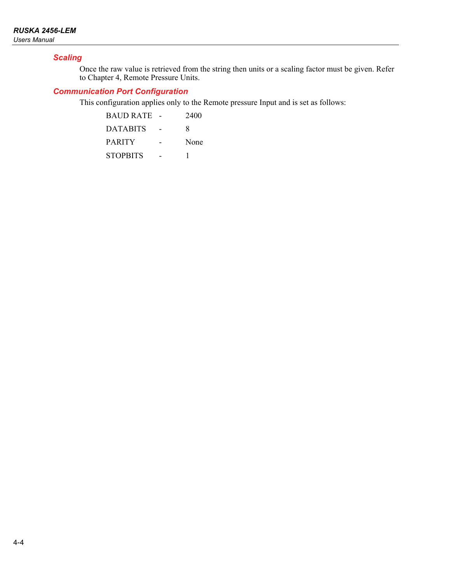### <span id="page-27-0"></span>*Scaling*

Once the raw value is retrieved from the string then units or a scaling factor must be given. Refer to Chapter 4, Remote Pressure Units.

### *Communication Port Configuration*

This configuration applies only to the Remote pressure Input and is set as follows:

| BAUD RATE       | 2400 |
|-----------------|------|
| <b>DATABITS</b> | x    |
| <b>PARITY</b>   | None |
| <b>STOPBITS</b> |      |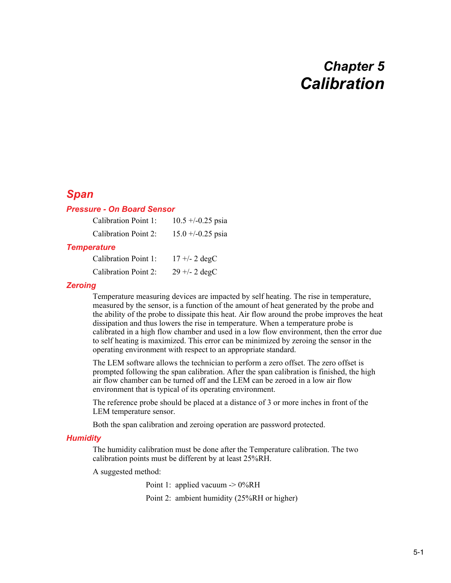## *Chapter 5 Calibration*

### <span id="page-28-0"></span>*Span*

#### *Pressure - On Board Sensor*

| Calibration Point 1: | $10.5 + (-0.25)$ psia         |
|----------------------|-------------------------------|
| Calibration Point 2: | $15.0 + (-0.25 \text{ psia})$ |

### *Temperature*

| Calibration Point 1:        | $17 + - 2 \text{ degC}$ |
|-----------------------------|-------------------------|
| <b>Calibration Point 2:</b> | $29 + - 2 \text{ degC}$ |

### *Zeroing*

Temperature measuring devices are impacted by self heating. The rise in temperature, measured by the sensor, is a function of the amount of heat generated by the probe and the ability of the probe to dissipate this heat. Air flow around the probe improves the heat dissipation and thus lowers the rise in temperature. When a temperature probe is calibrated in a high flow chamber and used in a low flow environment, then the error due to self heating is maximized. This error can be minimized by zeroing the sensor in the operating environment with respect to an appropriate standard.

The LEM software allows the technician to perform a zero offset. The zero offset is prompted following the span calibration. After the span calibration is finished, the high air flow chamber can be turned off and the LEM can be zeroed in a low air flow environment that is typical of its operating environment.

The reference probe should be placed at a distance of 3 or more inches in front of the LEM temperature sensor.

Both the span calibration and zeroing operation are password protected.

### *Humidity*

The humidity calibration must be done after the Temperature calibration. The two calibration points must be different by at least 25%RH.

A suggested method:

Point 1: applied vacuum -> 0%RH

Point 2: ambient humidity (25%RH or higher)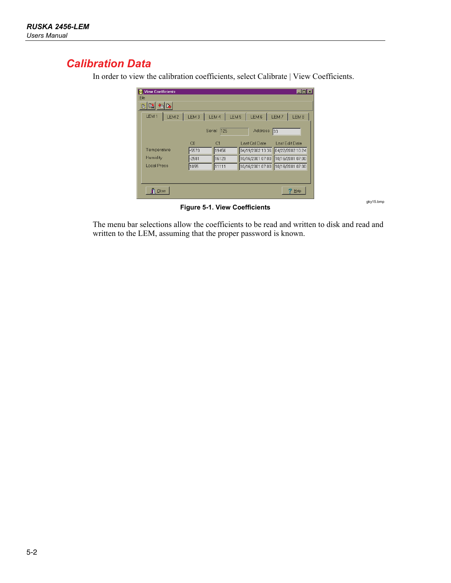### <span id="page-29-0"></span>*Calibration Data*

View Coefficients EDX BRB LEM1 | LEM2 | LEM3 | LEM4 | LEM5 | LEM6 | LEM7 | LEM8 Address  $\boxed{33}$ Serial 125  $_{\rm C0}$  $C1$ Last Cal Date Last Edit Date Temperature  $-5570$ 19456 04/19/2002 13:36 04/22/2002 10:24 Humidity  $-2581$  $16129$ 10/16/2001 07:00 10/16/2001 07:00 Local Press  $\sqrt{1055}$  $\sqrt{11111}$ 10/16/2001 07:00 10/16/2001 07:00  $\sqrt{2}$   $\sqrt{2}$   $\sqrt{2}$  $\frac{1}{2}$  Help

In order to view the calibration coefficients, select Calibrate | View Coefficients.

**Figure 5-1. View Coefficients** 

gky15.bmp

The menu bar selections allow the coefficients to be read and written to disk and read and written to the LEM, assuming that the proper password is known.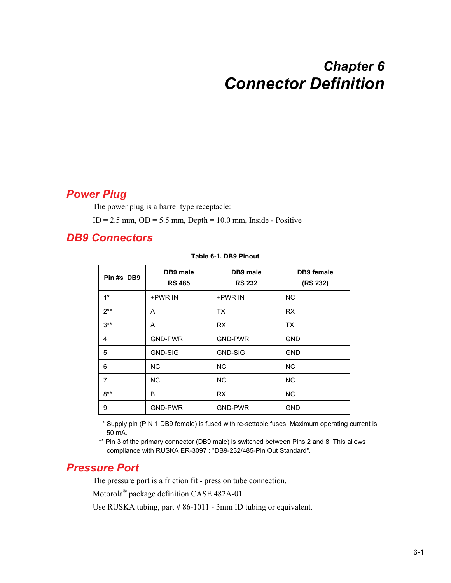## *Chapter 6 Connector Definition*

### <span id="page-30-0"></span>*Power Plug*

The power plug is a barrel type receptacle:

 $ID = 2.5$  mm,  $OD = 5.5$  mm, Depth = 10.0 mm, Inside - Positive

### *DB9 Connectors*

| Pin #s DB9 | DB9 male<br><b>RS 485</b> | DB9 male<br><b>RS 232</b> | <b>DB9</b> female<br>(RS 232) |
|------------|---------------------------|---------------------------|-------------------------------|
| $1*$       | +PWR IN                   | +PWR IN                   | <b>NC</b>                     |
| $2**$      | A                         | ТX                        | <b>RX</b>                     |
| $3**$      | A                         | <b>RX</b>                 | <b>TX</b>                     |
| 4          | <b>GND-PWR</b>            | <b>GND-PWR</b>            | <b>GND</b>                    |
| 5          | <b>GND-SIG</b>            | <b>GND-SIG</b>            | <b>GND</b>                    |
| 6          | NC.                       | <b>NC</b>                 | <b>NC</b>                     |
| 7          | NC.                       | <b>NC</b>                 | <b>NC</b>                     |
| $8**$      | B                         | <b>RX</b>                 | <b>NC</b>                     |
| 9          | <b>GND-PWR</b>            | <b>GND-PWR</b>            | <b>GND</b>                    |

### **Table 6-1. DB9 Pinout**

 \* Supply pin (PIN 1 DB9 female) is fused with re-settable fuses. Maximum operating current is 50 mA.

\*\* Pin 3 of the primary connector (DB9 male) is switched between Pins 2 and 8. This allows compliance with RUSKA ER-3097 : "DB9-232/485-Pin Out Standard".

### *Pressure Port*

The pressure port is a friction fit - press on tube connection.

Motorola® package definition CASE 482A-01

Use RUSKA tubing, part # 86-1011 - 3mm ID tubing or equivalent.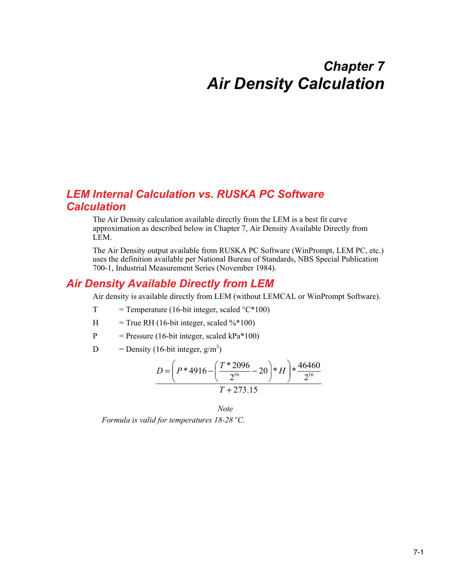## *Chapter 7 Air Density Calculation*

### <span id="page-32-0"></span>*LEM Internal Calculation vs. RUSKA PC Software Calculation*

The Air Density calculation available directly from the LEM is a best fit curve approximation as described below in Chapter 7, Air Density Available Directly from LEM.

The Air Density output available from RUSKA PC Software (WinPrompt, LEM PC, etc.) uses the definition available per National Bureau of Standards, NBS Special Publication 700-1, Industrial Measurement Series (November 1984).

### *Air Density Available Directly from LEM*

Air density is available directly from LEM (without LEMCAL or WinPrompt Software).

- T = Temperature (16-bit integer, scaled  $\degree$ C\*100)
- H = True RH (16-bit integer, scaled  $\%$ \*100)
- $P =$  Pressure (16-bit integer, scaled kPa $*100$ )
- D = Density (16-bit integer,  $g/m<sup>3</sup>$ )

$$
D = \left(P^*4916 - \left(\frac{T^*2096}{2^{16}} - 20\right)^*H\right) * \frac{46460}{2^{16}}
$$
  

$$
T + 273.15
$$

*Note Formula is valid for temperatures 18-28 <sup>o</sup> C.*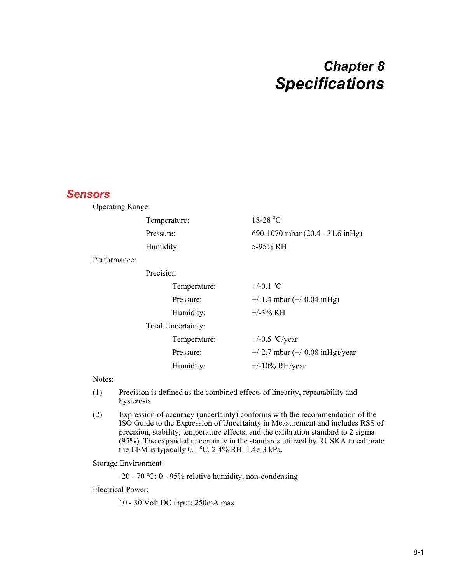## *Chapter 8 Specifications*

690-1070 mbar (20.4 - 31.6 inHg)

### <span id="page-34-0"></span>*Sensors*

Operating Range:

| Temperature: | 18-28 °C |  |
|--------------|----------|--|
| Pressure:    | 690-1070 |  |
|              |          |  |

Humidity: 5-95% RH

Performance:

Precision

| Temperature:       | $+/-0.1$ °C                         |
|--------------------|-------------------------------------|
| Pressure:          | $+/-1.4$ mbar $(+/-0.04$ inHg)      |
| Humidity:          | $+/-3\%$ RH                         |
| Total Uncertainty: |                                     |
| Temperature:       | $+/-0.5$ °C/year                    |
| Pressure:          | $+/-2.7$ mbar $(+/-0.08$ inHg)/year |
| Humidity:          | $+/-10\%$ RH/year                   |

Notes:

- (1) Precision is defined as the combined effects of linearity, repeatability and hysteresis.
- (2) Expression of accuracy (uncertainty) conforms with the recommendation of the ISO Guide to the Expression of Uncertainty in Measurement and includes RSS of precision, stability, temperature effects, and the calibration standard to 2 sigma (95%). The expanded uncertainty in the standards utilized by RUSKA to calibrate the LEM is typically 0.1  $\degree$ C, 2.4% RH, 1.4e-3 kPa.

Storage Environment:

-20 - 70 °C; 0 - 95% relative humidity, non-condensing

Electrical Power:

10 - 30 Volt DC input; 250mA max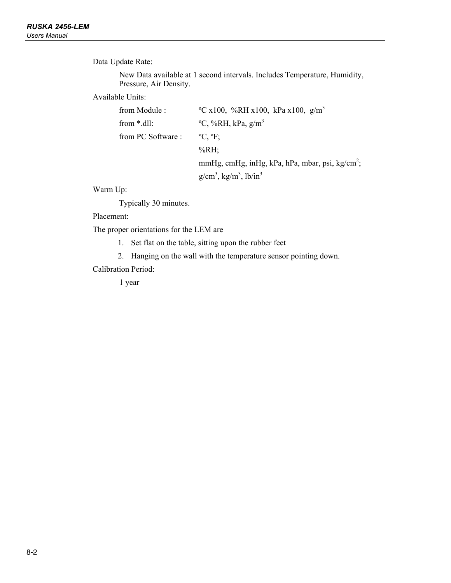Data Update Rate:

 New Data available at 1 second intervals. Includes Temperature, Humidity, Pressure, Air Density.

Available Units:

| from Module :      | °C x100, °/sRH x100, kPa x100, $g/m3$                       |
|--------------------|-------------------------------------------------------------|
| from $*$ dll:      | °C, %RH, kPa, $g/m3$                                        |
| from PC Software : | $^{\circ}C.$ $^{\circ}F$ :                                  |
|                    | %RH;                                                        |
|                    | mmHg, cmHg, inHg, kPa, hPa, mbar, psi, kg/cm <sup>2</sup> ; |
|                    | $g/cm3$ , kg/m <sup>3</sup> , lb/in <sup>3</sup>            |

Warm Up:

Typically 30 minutes.

Placement:

The proper orientations for the LEM are

1. Set flat on the table, sitting upon the rubber feet

2. Hanging on the wall with the temperature sensor pointing down.

Calibration Period:

1 year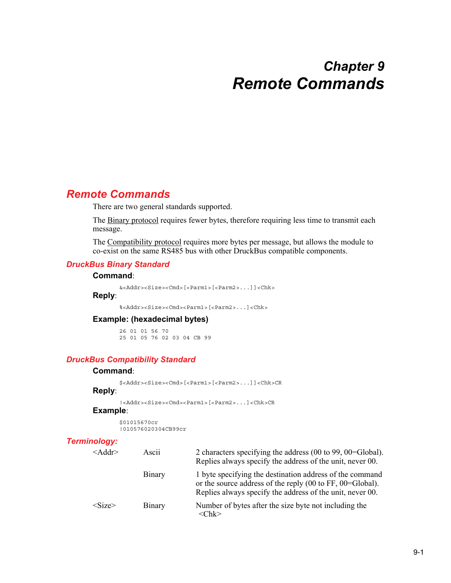## *Chapter 9 Remote Commands*

### <span id="page-36-0"></span>*Remote Commands*

There are two general standards supported.

The Binary protocol requires fewer bytes, therefore requiring less time to transmit each message.

The Compatibility protocol requires more bytes per message, but allows the module to co-exist on the same RS485 bus with other DruckBus compatible components.

### *DruckBus Binary Standard*

#### **Command**:

&<Addr><Size><Cmd>[<Parm1>[<Parm2>...]]<Chk>

#### **Reply**:

%<Addr><Size><Cmd><Parm1>[<Parm2>...]<Chk>

#### **Example: (hexadecimal bytes)**

 26 01 01 56 70 25 01 05 76 02 03 04 CB 99

### *DruckBus Compatibility Standard*

#### **Command**:

\$<Addr><Size><Cmd>[<Parm1>[<Parm2>...]]<Chk>CR

#### **Reply**:

!<Addr><Size><Cmd><Parm1>[<Parm2>...]<Chk>CR

#### **Example**:

 \$01015670cr !010576020304CB99cr

#### *Terminology:*

| $\leq$ Addr> | Ascii         | 2 characters specifying the address (00 to 99, 00=Global).<br>Replies always specify the address of the unit, never 00.                                                                                |
|--------------|---------------|--------------------------------------------------------------------------------------------------------------------------------------------------------------------------------------------------------|
|              | <b>Binary</b> | 1 byte specifying the destination address of the command<br>or the source address of the reply $(00 \text{ to FF}, 00 = \text{Global})$ .<br>Replies always specify the address of the unit, never 00. |
| $<$ Size $>$ | Binary        | Number of bytes after the size byte not including the<br><chk></chk>                                                                                                                                   |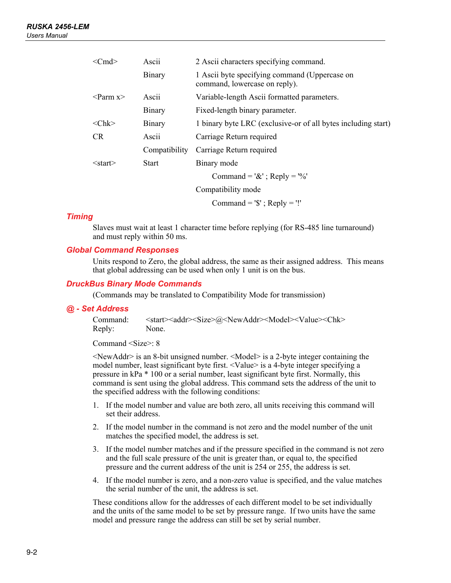<span id="page-37-0"></span>

| $<$ Cmd $>$           | Ascii         | 2 Ascii characters specifying command.                                         |
|-----------------------|---------------|--------------------------------------------------------------------------------|
|                       | <b>Binary</b> | 1 Ascii byte specifying command (Uppercase on<br>command, lowercase on reply). |
| $\epsilon$ Parm x $>$ | Ascii         | Variable-length Ascii formatted parameters.                                    |
|                       | <b>Binary</b> | Fixed-length binary parameter.                                                 |
| $<$ Chk $>$           | <b>Binary</b> | 1 binary byte LRC (exclusive-or of all bytes including start)                  |
| CR.                   | Ascii         | Carriage Return required                                                       |
|                       | Compatibility | Carriage Return required                                                       |
| $<$ start $>$         | <b>Start</b>  | Binary mode                                                                    |
|                       |               | Command = ' $\&$ '; Reply = '%'                                                |
|                       |               | Compatibility mode                                                             |
|                       |               |                                                                                |

Command =  $\mathcal{S}'$  ; Reply =  $\mathcal{V}'$ 

#### *Timing*

Slaves must wait at least 1 character time before replying (for RS-485 line turnaround) and must reply within 50 ms.

#### *Global Command Responses*

Units respond to Zero, the global address, the same as their assigned address. This means that global addressing can be used when only 1 unit is on the bus.

#### *DruckBus Binary Mode Commands*

(Commands may be translated to Compatibility Mode for transmission)

#### *@ - Set Address*

Command: <start><addr><Size>@<NewAddr><Model><Value><Chk> Reply: None.

Command <Size>: 8

 $\leq$ NewAddr> is an 8-bit unsigned number.  $\leq$ Model> is a 2-byte integer containing the model number, least significant byte first. <Value> is a 4-byte integer specifying a pressure in kPa \* 100 or a serial number, least significant byte first. Normally, this command is sent using the global address. This command sets the address of the unit to the specified address with the following conditions:

- 1. If the model number and value are both zero, all units receiving this command will set their address.
- 2. If the model number in the command is not zero and the model number of the unit matches the specified model, the address is set.
- 3. If the model number matches and if the pressure specified in the command is not zero and the full scale pressure of the unit is greater than, or equal to, the specified pressure and the current address of the unit is 254 or 255, the address is set.
- 4. If the model number is zero, and a non-zero value is specified, and the value matches the serial number of the unit, the address is set.

These conditions allow for the addresses of each different model to be set individually and the units of the same model to be set by pressure range. If two units have the same model and pressure range the address can still be set by serial number.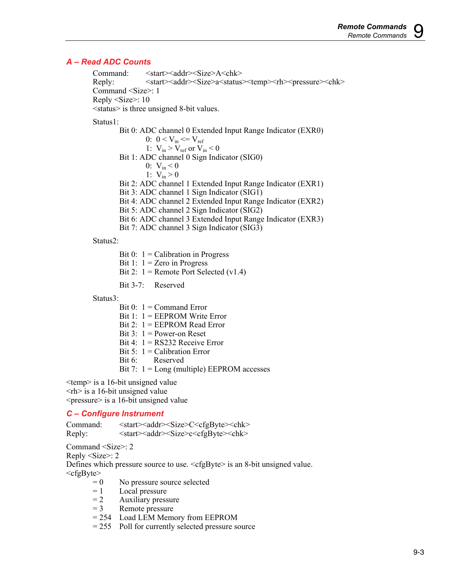### <span id="page-38-0"></span>*A – Read ADC Counts*

```
Command: <start><addr><size>A<chk>
Reply: \langle \text{start}\rangle \langle \text{addr}\rangle \langle \text{Size}\ranglea\langle \text{status}\rangle \langle \text{temp}\rangle \langle \text{rhs}\rangle \langle \text{pressure}\rangle \langle \text{chk}\rangleCommand <Size>: 1 
Reply <Size>: 10 
<status> is three unsigned 8-bit values.
```
Status1:

Bit 0: ADC channel 0 Extended Input Range Indicator (EXR0) 0:  $0 < V_{in} \leq V_{ref}$ 1:  $V_{in}$  >  $V_{ref}$  or  $V_{in}$  < 0 Bit 1: ADC channel 0 Sign Indicator (SIG0) 0:  $V_{in}$  < 0 1:  $V_{in} > 0$ Bit 2: ADC channel 1 Extended Input Range Indicator (EXR1) Bit 3: ADC channel 1 Sign Indicator (SIG1) Bit 4: ADC channel 2 Extended Input Range Indicator (EXR2) Bit 5: ADC channel 2 Sign Indicator (SIG2) Bit 6: ADC channel 3 Extended Input Range Indicator (EXR3) Bit 7: ADC channel 3 Sign Indicator (SIG3)

Status2:

Bit 0:  $1 =$  Calibration in Progress

Bit 1:  $1 =$  Zero in Progress

Bit 2:  $1 =$  Remote Port Selected (v1.4)

Bit 3-7: Reserved

Status3:

- Bit  $0: 1 = \text{Command Error}$
- Bit 1: 1 = EEPROM Write Error
- Bit 2:  $1 = EEPROM Read Error$
- Bit  $3: 1$  = Power-on Reset
- Bit 4:  $1 = RS232$  Receive Error
- Bit 5:  $1 =$  Calibration Error
- Bit 6: Reserved
- Bit 7:  $1 = Long$  (multiple) EEPROM accesses

<temp> is a 16-bit unsigned value  $\langle$ -ch $>$  is a 16-bit unsigned value <pressure> is a 16-bit unsigned value

### *C – Configure Instrument*

Command: <start><addr><start>cize>C<cfgByte><chk> Reply:  $\langle \text{start}\rangle \langle \text{addr}\rangle \langle \text{Size}\rangle \langle \text{c} \langle \text{fgByte}\rangle \langle \text{chk}\rangle$ 

Command <Size>: 2 Reply <Size>: 2 Defines which pressure source to use.  $\leq$ cfgByte $>$  is an 8-bit unsigned value.  $<$ cfgByte $>$ 

- $= 0$  No pressure source selected<br> $= 1$  Local pressure
- Local pressure
- $= 2$  Auxiliary pressure<br> $= 3$  Remote pressure
- $= 3$  Remote pressure<br> $= 254$  Load LEM Mem
- Load LEM Memory from EEPROM
- = 255 Poll for currently selected pressure source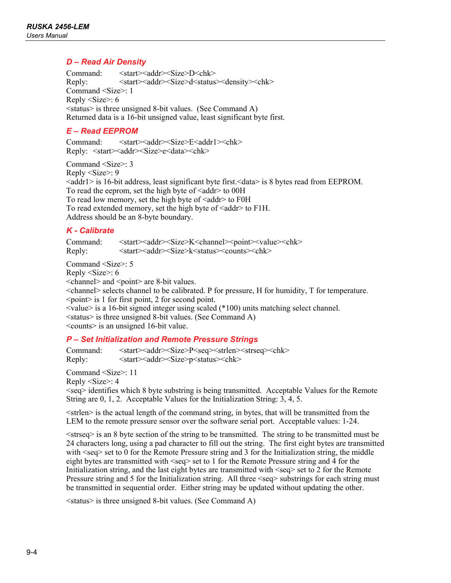### <span id="page-39-0"></span>*D – Read Air Density*

Command: <start><addr><start>b<addr><start> Reply:  $\langle \text{start}\rangle \langle \text{addr}\rangle \langle \text{Size}\rangle d\langle \text{status}\rangle \langle \text{density}\rangle \langle \text{chk}\rangle$ Command <Size>: 1 Reply <Size>: 6  $\leq$ status $\geq$  is three unsigned 8-bit values. (See Command A) Returned data is a 16-bit unsigned value, least significant byte first.

### *E – Read EEPROM*

Command: <start><addr>>dr>>Size>E<addr1>><chk> Reply: <start><addr><Size>e<data><chk>

Command <Size>: 3 Reply <Size>: 9 <addr1> is 16-bit address, least significant byte first.<data> is 8 bytes read from EEPROM. To read the eeprom, set the high byte of  $\leq$ addr $>$  to 00H To read low memory, set the high byte of  $\leq$ addr $>$  to F0H To read extended memory, set the high byte of  $\leq$ addr $\geq$  to F1H. Address should be an 8-byte boundary.

### *K - Calibrate*

Command: <start><addr>>ddr><Size>K<channel><point><value><chk> Reply: <start><addr><status><counts><chk>

Command <Size>: 5

Reply <Size>: 6  $\le$ channel $\ge$  and  $\le$ point $\ge$  are 8-bit values. <channel> selects channel to be calibrated. P for pressure, H for humidity, T for temperature.  $\le$ point $\ge$  is 1 for first point, 2 for second point.  $\langle$ value> is a 16-bit signed integer using scaled (\*100) units matching select channel.  $\leq$ status $\geq$  is three unsigned 8-bit values. (See Command A) <counts> is an unsigned 16-bit value.

### *P – Set Initialization and Remote Pressure Strings*

Command: <start><addr>>ddr>>Size>P<seq><strlen><strseq><chk> Reply:  $\langle \text{start}\rangle \langle \text{addr}\rangle \langle \text{Size}\rangle p \langle \text{status}\rangle \langle \text{chk}\rangle$ 

Command <Size>: 11 Reply <Size>: 4 <seq> identifies which 8 byte substring is being transmitted. Acceptable Values for the Remote String are 0, 1, 2. Acceptable Values for the Initialization String: 3, 4, 5.

 $\le$ strlen $>$  is the actual length of the command string, in bytes, that will be transmitted from the LEM to the remote pressure sensor over the software serial port. Acceptable values: 1-24.

<strseq> is an 8 byte section of the string to be transmitted. The string to be transmitted must be 24 characters long, using a pad character to fill out the string. The first eight bytes are transmitted with  $\leq$ seq $\geq$  set to 0 for the Remote Pressure string and 3 for the Initialization string, the middle eight bytes are transmitted with <seq> set to 1 for the Remote Pressure string and 4 for the Initialization string, and the last eight bytes are transmitted with  $\langle$ seq $\rangle$  set to 2 for the Remote Pressure string and 5 for the Initialization string. All three  $\langle$ seq $\rangle$  substrings for each string must be transmitted in sequential order. Either string may be updated without updating the other.

 $\leq$ status $\geq$  is three unsigned 8-bit values. (See Command A)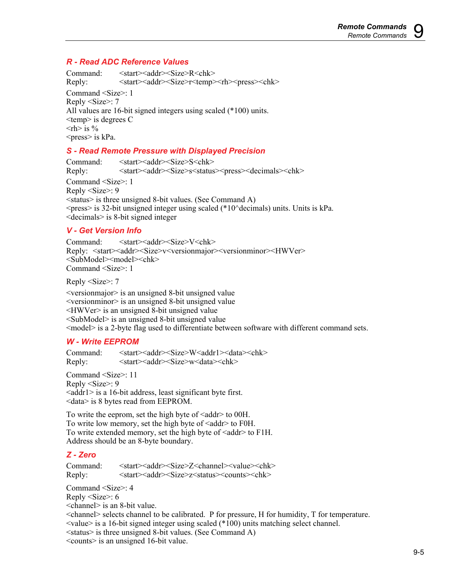### <span id="page-40-0"></span>*R - Read ADC Reference Values*

Command: <start><addr><sart><sart></a></a> Reply:  $\langle \text{start}\rangle \langle \text{addr}\rangle \langle \text{Size}\rangle r \langle \text{temp}\rangle \langle \text{rh}\rangle \langle \text{press}\rangle \langle \text{chk}\rangle$ Command <Size>: 1 Reply <Size>: 7 All values are 16-bit signed integers using scaled (\*100) units. <temp> is degrees C  $\langle$ rh $>$  is %  $<$ press $>$  is kPa.

### *S - Read Remote Pressure with Displayed Precision*

Command: <start><addr><size>S<chk> Reply:  $\langle \text{start}\rangle \langle \text{addr}\rangle \langle \text{Size}\rangle$ s $\langle \text{status}\rangle \langle \text{press}\rangle \langle \text{decimals}\rangle \langle \text{chk}\rangle$ Command <Size>: 1 Reply <Size>: 9  $\le$ status $>$  is three unsigned 8-bit values. (See Command A)  $\langle$  press> is 32-bit unsigned integer using scaled (\*10^decimals) units. Units is kPa. <decimals> is 8-bit signed integer

### *V - Get Version Info*

Command: <start><addr><sdat><sdat> Reply: <start><addr>>sdr>>size>v<versionmajor><versionminor><HWVer> <SubModel><model><chk> Command <Size>: 1

Reply <Size>: 7

<versionmajor> is an unsigned 8-bit unsigned value <versionminor> is an unsigned 8-bit unsigned value <HWVer> is an unsigned 8-bit unsigned value <SubModel> is an unsigned 8-bit unsigned value <model> is a 2-byte flag used to differentiate between software with different command sets.

### *W - Write EEPROM*

Command: <start><addr>>ddr>>Size>W<addr1><data><chk> Reply:  $\langle \text{start}\rangle \langle \text{addr}\rangle \langle \text{Size}\rangle$ w $\langle \text{data}\rangle \langle \text{chk}\rangle$ 

Command <Size>: 11 Reply <Size>: 9  $\leq$ addr1 $>$  is a 16-bit address, least significant byte first. <data> is 8 bytes read from EEPROM.

To write the eeprom, set the high byte of  $\leq$  addr $>$  to 00H. To write low memory, set the high byte of  $\leq$  addr> to F0H. To write extended memory, set the high byte of  $\leq$ addr> to F1H. Address should be an 8-byte boundary.

### *Z - Zero*

Command: <start><addr>>sdr>>Z<channel><value><chk> Reply:  $\langle \text{start}\rangle \langle \text{addr}\rangle \langle \text{Size}\rangle \langle \text{status}\rangle \langle \text{counts}\rangle \langle \text{chk}\rangle$ 

Command <Size>: 4 Reply <Size>: 6 <channel> is an 8-bit value. <channel> selects channel to be calibrated. P for pressure, H for humidity, T for temperature.  $\langle$ value $\rangle$  is a 16-bit signed integer using scaled (\*100) units matching select channel.  $\leq$ status $>$  is three unsigned 8-bit values. (See Command A) <counts> is an unsigned 16-bit value.